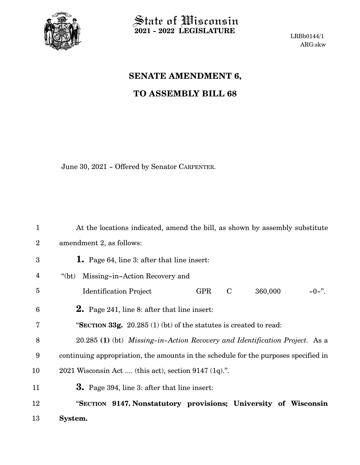

**2021 - 2022 LEGISLATURE**

LRBb0144/1 ARG:skw

## **SENATE AMENDMENT 6, TO ASSEMBLY BILL 68**

June 30, 2021 - Offered by Senator CARPENTER.

| $\mathbf{1}$    | At the locations indicated, amend the bill, as shown by assembly substitute         |
|-----------------|-------------------------------------------------------------------------------------|
| $\overline{2}$  | amendment 2, as follows:                                                            |
| 3               | <b>1.</b> Page 64, line 3: after that line insert:                                  |
| $\overline{4}$  | Missing-in-Action Recovery and<br>" $(bt)$                                          |
| $\overline{5}$  | 360,000<br>$-0-$ ".<br><b>GPR</b><br>$\mathbf C$<br><b>Identification Project</b>   |
| $6\phantom{1}6$ | <b>2.</b> Page 241, line 8: after that line insert:                                 |
| 7               | "SECTION 33g. $20.285(1)(bt)$ of the statutes is created to read:                   |
| 8               | 20.285 (1) (bt) Missing-in-Action Recovery and Identification Project. As a         |
| 9               | continuing appropriation, the amounts in the schedule for the purposes specified in |
| 10              | 2021 Wisconsin Act  (this act), section 9147 $(1q)$ .".                             |
| 11              | <b>3.</b> Page 394, line 3: after that line insert:                                 |
| 12              | "SECTION 9147. Nonstatutory provisions; University of Wisconsin                     |
| 13              | System.                                                                             |